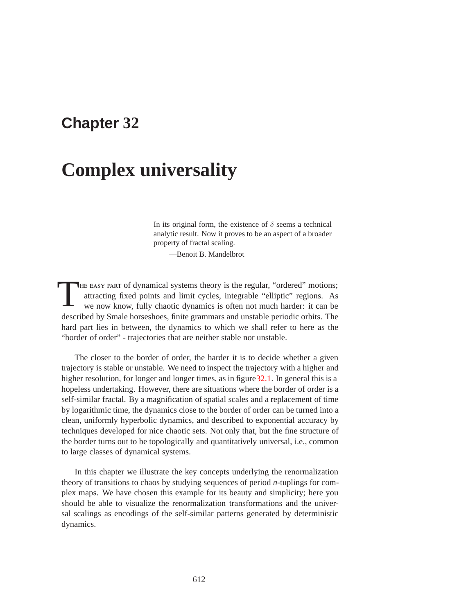# **Chapter 32**

# **Complex universality**

In its original form, the existence of  $\delta$  seems a technical analytic result. Now it proves to be an aspect of a broader property of fractal scaling.

—Benoit B. Mandelbrot

THE EASY PART of dynamical systems theory is the regular, "ordered" motions; attracting fixed points and limit cycles, integrable "elliptic" regions. As we now know, fully chaotic dynamics is often not much harder: it can be described by Smale horseshoes, finite grammars and unstable periodic orbits. The hard part lies in between, the dynamics to which we shall refer to here as the "border of order" - trajectories that are neither stable nor unstable.

The closer to the border of order, the harder it is to decide whether a given trajectory is stable or unstable. We need to inspect the trajectory with a higher and higher resolution, for longer and longer times, as in figure 32.1. In general this is a hopeless undertaking. However, there are situations where the border of order is a self-similar fractal. By a magnification of spatial scales and a replacement of time by logarithmic time, the dynamics close to the border of order can be turned into a clean, uniformly hyperbolic dynamics, and described to exponential accuracy by techniques developed for nice chaotic sets. Not only that, but the fine structure of the border turns out to be topologically and quantitatively universal, i.e., common to large classes of dynamical systems.

In this chapter we illustrate the key concepts underlying the renormalization theory of transitions to chaos by studying sequences of period *n*-tuplings for complex maps. We have chosen this example for its beauty and simplicity; here you should be able to visualize the renormalization transformations and the universal scalings as encodings of the self-similar patterns generated by deterministic dynamics.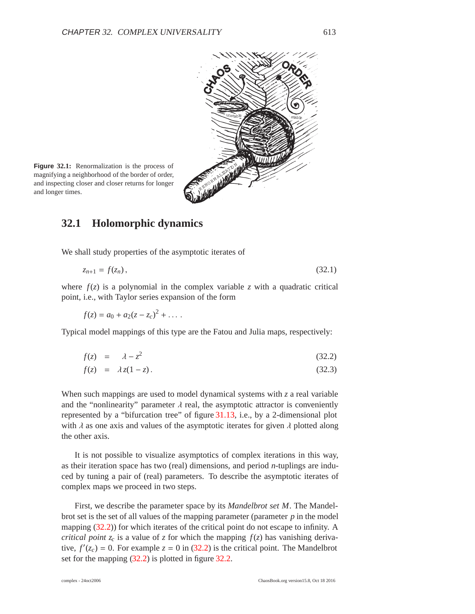

**Figure 32.1:** Renormalization is the process of magnifying a neighborhood of the border of order, and inspecting closer and closer returns for longer and inspecting closer and closer returns for longer<br>and longer times.

#### **32.1 Holomorphic dynamics**

We shall study properties of the asymptotic iterates of

$$
z_{n+1} = f(z_n),
$$
\n(32.1)

where  $f(z)$  is a polynomial in the complex variable *z* with a quadratic critical point, i.e., with Taylor series expansion of the form

$$
f(z) = a_0 + a_2(z - z_c)^2 + \dots
$$

Typical model mappings of this type are the Fatou and Julia maps, respectively:

$$
f(z) = \lambda - z^2 \tag{32.2}
$$

$$
f(z) = \lambda z(1-z). \tag{32.3}
$$

When such mappings are used to model dynamical systems with *z* a real variable and the "nonlinearity" parameter  $\lambda$  real, the asymptotic attractor is conveniently represented by a "bifurcation tree" of figure 31.13, i.e., by a 2-dimensional plot with  $\lambda$  as one axis and values of the asymptotic iterates for given  $\lambda$  plotted along the other axis.

It is not possible to visualize asymptotics of complex iterations in this way, as their iteration space has two (real) dimensions, and period *n*-tuplings are induced by tuning a pair of (real) parameters. To describe the asymptotic iterates of complex maps we proceed in two steps.

First, we describe the parameter space by its *Mandelbrot set M*. The Mandelbrot set is the set of all values of the mapping parameter (parameter *p* in the model mapping (32.2)) for which iterates of the critical point do not escape to infinity. A *critical point*  $z_c$  is a value of *z* for which the mapping  $f(z)$  has vanishing derivative,  $f'(z_c) = 0$ . For example  $z = 0$  in (32.2) is the critical point. The Mandelbrot set for the mapping (32.2) is plotted in figure 32.2.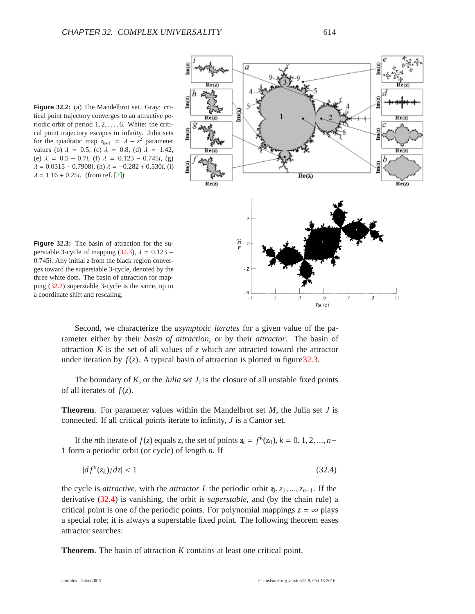**Figure 32.2:** (a) The Mandelbrot set. Gray: critical point trajectory converges to an attractive periodic orbit of period 1, 2,..., 6. White: the critical point trajectory escapes to infinity. Julia sets for the quadratic map  $z_{k+1} = \lambda - z^2$  parameter values (b)  $\lambda = 0.5$ , (c)  $\lambda = 0.8$ , (d)  $\lambda = 1.42$ , (e)  $\lambda = 0.5 + 0.7i$ , (f)  $\lambda = 0.123 - 0.745i$ , (g)  $\lambda = 0.0315 - 0.7908i$ , (h)  $\lambda = -0.282 + 0.530i$ , (i)  $\lambda = 1.16 + 0.25i$ . (from ref. [3])



**Figure 32.3:** The basin of attraction for the superstable 3-cycle of mapping (32.3),  $\lambda = 0.123$  – 0.745*i*. Any initial *z* from the black region converges toward the superstable 3-cycle, denoted by the three white dots. The basin of attraction for mapping (32.2) superstable 3-cycle is the same, up to a coordinate shift and rescaling.

Second, we characterize the *asymptotic iterates* for a given value of the parameter either by their *basin of attraction*, or by their *attractor*. The basin of attraction  $K$  is the set of all values of  $\zeta$  which are attracted toward the attractor under iteration by  $f(z)$ . A typical basin of attraction is plotted in figure 32.3.

The boundary of *K*, or the *Julia set J*, is the closure of all unstable fixed points of all iterates of *f*(*z*).

**Theorem**. For parameter values within the Mandelbrot set *M*, the Julia set *J* is connected. If all critical points iterate to infinity, *J* is a Cantor set.

If the *n*th iterate of  $f(z)$  equals *z*, the set of points  $\bar{x} = f^k(z_0)$ ,  $k = 0, 1, 2, ..., n-$ 1 form a periodic orbit (or cycle) of length *n*. If

$$
|df^n(z_k)/dz| < 1\tag{32.4}
$$

the cycle is *attractive*, with the *attractor L* the periodic orbit *z*0,*z*1, ...,*zn*−1. If the derivative (32.4) is vanishing, the orbit is *superstable*, and (by the chain rule) a critical point is one of the periodic points. For polynomial mappings  $z = \infty$  plays a special role; it is always a superstable fixed point. The following theorem eases attractor searches:

**Theorem**. The basin of attraction *K* contains at least one critical point.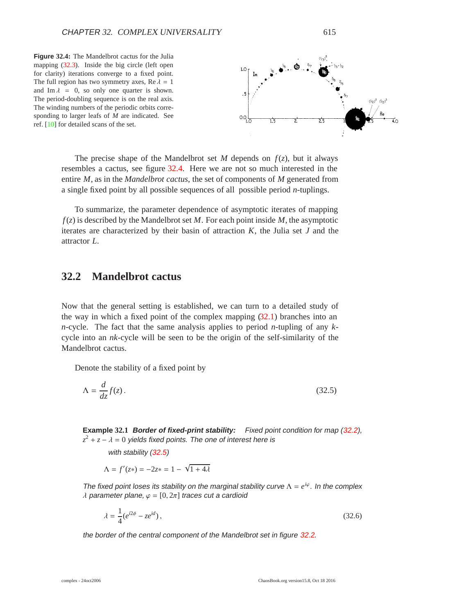**Figure 32.4:** The Mandelbrot cactus for the Julia mapping  $(32.3)$ . Inside the big circle (left open for clarity) iterations converge to a fixed point. The full region has two symmetry axes, Re  $\lambda = 1$ and Im  $\lambda = 0$ , so only one quarter is shown. The period-doubling sequence is on the real axis. The winding numbers of the periodic orbits corresponding to larger leafs of *M* are indicated. See ref. [10] for detailed scans of the set.



The precise shape of the Mandelbrot set *M* depends on  $f(z)$ , but it always resembles a cactus, see figure 32.4. Here we are not so much interested in the entire *M*, as in the *Mandelbrot cactus*, the set of components of *M* generated from a single fixed point by all possible sequences of all possible period *n*-tuplings.

To summarize, the parameter dependence of asymptotic iterates of mapping *f*(*z*) is described by the Mandelbrot set *M*. For each point inside *M*, the asymptotic iterates are characterized by their basin of attraction *K*, the Julia set *J* and the attractor *L*.

#### **32.2 Mandelbrot cactus**

Now that the general setting is established, we can turn to a detailed study of the way in which a fixed point of the complex mapping  $(32.1)$  branches into an *n*-cycle. The fact that the same analysis applies to period *n*-tupling of any *k*cycle into an *nk*-cycle will be seen to be the origin of the self-similarity of the Mandelbrot cactus.

Denote the stability of a fixed point by

$$
\Lambda = \frac{d}{dz} f(z). \tag{32.5}
$$

**Example 32.1 Border of fixed-print stability:** Fixed point condition for map (32.2),  $z^2 + z - \lambda = 0$  yields fixed points. The one of interest here is

with stability (32.5)

 $\Lambda = f'(z*) = -2z* = 1 - \sqrt{1 + 4\lambda}$ 

The fixed point loses its stability on the marginal stability curve  $\Lambda = e^{i\varphi}$ . In the complex  $\lambda$  parameter plane,  $\varphi = [0, 2\pi]$  traces cut a cardioid

$$
\lambda = \frac{1}{4} (e^{i2\phi} - ze^{id}),\tag{32.6}
$$

the border of the central component of the Mandelbrot set in figure 32.2.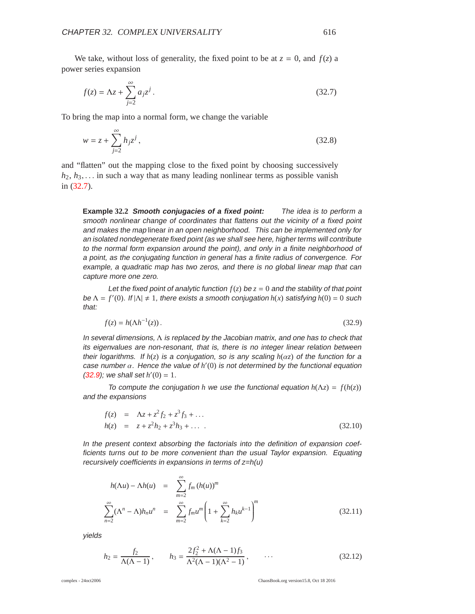We take, without loss of generality, the fixed point to be at  $z = 0$ , and  $f(z)$  a power series expansion

$$
f(z) = \Lambda z + \sum_{j=2}^{\infty} a_j z^j.
$$
 (32.7)

To bring the map into a normal form, we change the variable

$$
w = z + \sum_{j=2}^{\infty} h_j z^j,
$$
 (32.8)

and "flatten" out the mapping close to the fixed point by choosing successively  $h_2, h_3, \ldots$  in such a way that as many leading nonlinear terms as possible vanish in (32.7).

**Example 32.2 Smooth conjugacies of <sup>a</sup> fixed point:** The idea is to perform <sup>a</sup> smooth nonlinear change of coordinates that flattens out the vicinity of <sup>a</sup> fixed point and makes the map linear in an open neighborhood. This can be implemented only for an isolated nondegenerate fixed point (as we shall see here, higher terms will contribute to the normal form expansion around the point), and only in <sup>a</sup> finite neighborhood of <sup>a</sup> point, as the conjugating function in general has <sup>a</sup> finite radius of convergence. For example, <sup>a</sup> quadratic map has two zeros, and there is no global linear map that can capture more one zero.

Let the fixed point of analytic function  $f(z)$  be  $z = 0$  and the stability of that point be  $\Lambda = f'(0)$ . If  $|\Lambda| \neq 1$ , there exists a smooth conjugation  $h(x)$  satisfying  $h(0) = 0$  such that:

$$
f(z) = h(\Lambda h^{-1}(z)).\tag{32.9}
$$

In several dimensions,  $\Lambda$  is replaced by the Jacobian matrix, and one has to check that its eigenvalues are non-resonant, that is, there is no integer linear relation between their logarithms. If  $h(z)$  is a conjugation, so is any scaling  $h(\alpha z)$  of the function for a case number  $\alpha$ . Hence the value of  $h'(0)$  is not determined by the functional equation  $(32.9)$ ; we shall set  $h'(0) = 1$ .

To compute the conjugation *h* we use the functional equation  $h(\Lambda z) = f(h(z))$ and the expansions

$$
f(z) = \Lambda z + z^2 f_2 + z^3 f_3 + \dots
$$
  
\n
$$
h(z) = z + z^2 h_2 + z^3 h_3 + \dots
$$
\n(32.10)

In the present context absorbing the factorials into the definition of expansion coefficients turns out to be more convenient than the usual Taylor expansion. Equating recursively coefficients in expansions in terms of  $z=h(u)$ 

$$
h(\Lambda u) - \Lambda h(u) = \sum_{m=2}^{\infty} f_m (h(u))^m
$$
  

$$
\sum_{n=2}^{\infty} (\Lambda^n - \Lambda) h_n u^n = \sum_{m=2}^{\infty} f_m u^m \left( 1 + \sum_{k=2}^{\infty} h_k u^{k-1} \right)^m
$$
(32.11)

yields

$$
h_2 = \frac{f_2}{\Lambda(\Lambda - 1)}, \qquad h_3 = \frac{2f_2^2 + \Lambda(\Lambda - 1)f_3}{\Lambda^2(\Lambda - 1)(\Lambda^2 - 1)}, \qquad \dots \tag{32.12}
$$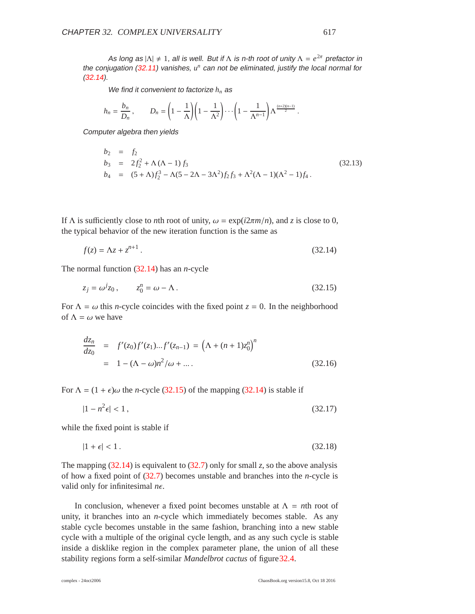As long as  $|\Lambda| \neq 1$ , all is well. But if  $\Lambda$  is n-th root of unity  $\Lambda = e^{2\pi}$  prefactor in the conjugation (32.11) vanishes, *u<sup>n</sup>* can not be eliminated, justify the local normal for  $(32.14)$ .

We find it convenient to factorize  $h_n$  as

$$
h_n = \frac{b_n}{D_n}, \qquad D_n = \left(1 - \frac{1}{\Lambda}\right)\left(1 - \frac{1}{\Lambda^2}\right)\cdots\left(1 - \frac{1}{\Lambda^{n-1}}\right)\Lambda^{\frac{(n+2)(n-1)}{2}}.
$$

Computer algebra then yields

$$
b_2 = f_2
$$
  
\n
$$
b_3 = 2f_2^2 + \Lambda(\Lambda - 1)f_3
$$
  
\n
$$
b_4 = (5 + \Lambda)f_2^3 - \Lambda(5 - 2\Lambda - 3\Lambda^2)f_2f_3 + \Lambda^2(\Lambda - 1)(\Lambda^2 - 1)f_4.
$$
\n(32.13)

If Λ is sufficiently close to *n*th root of unity,  $ω = \exp(i2πm/n)$ , and *z* is close to 0, the typical behavior of the new iteration function is the same as

$$
f(z) = \Lambda z + z^{n+1}.
$$
 (32.14)

The normal function (32.14) has an *n*-cycle

$$
z_j = \omega^j z_0, \qquad z_0^n = \omega - \Lambda. \tag{32.15}
$$

For  $\Lambda = \omega$  this *n*-cycle coincides with the fixed point  $z = 0$ . In the neighborhood of  $\Lambda = \omega$  we have

$$
\frac{dz_n}{dz_0} = f'(z_0)f'(z_1)...f'(z_{n-1}) = (\Lambda + (n+1)z_0^n)^n
$$
  
= 1 - (\Lambda - \omega)n^2/\omega + .... (32.16)

For  $\Lambda = (1 + \epsilon)\omega$  the *n*-cycle (32.15) of the mapping (32.14) is stable if

 $|1 - n^2 \epsilon| < 1$ ,  $|\epsilon| < 1$ , (32.17)

while the fixed point is stable if

$$
|1+\epsilon|<1\tag{32.18}
$$

The mapping (32.14) is equivalent to (32.7) only for small *z*, so the above analysis of how a fixed point of (32.7) becomes unstable and branches into the *n*-cycle is valid only for infinitesimal  $n\epsilon$ .

In conclusion, whenever a fixed point becomes unstable at  $\Lambda = n$ th root of unity, it branches into an *n*-cycle which immediately becomes stable. As any stable cycle becomes unstable in the same fashion, branching into a new stable cycle with a multiple of the original cycle length, and as any such cycle is stable inside a disklike region in the complex parameter plane, the union of all these stability regions form a self-similar *Mandelbrot cactus* of figure32.4.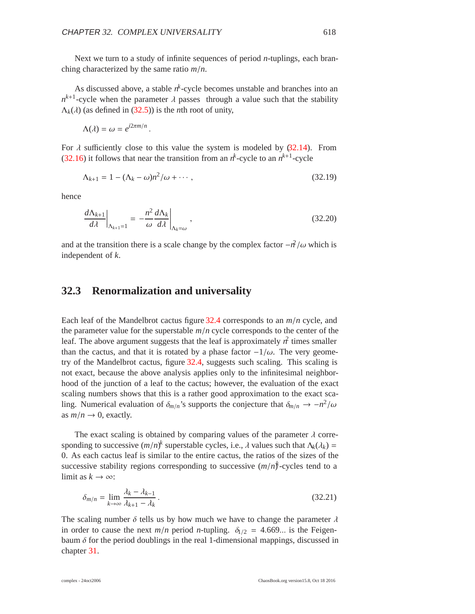Next we turn to a study of infinite sequences of period *n*-tuplings, each branching characterized by the same ratio *m*/*n*.

As discussed above, a stable  $n^k$ -cycle becomes unstable and branches into an  $n^{k+1}$ -cycle when the parameter  $\lambda$  passes through a value such that the stability  $\Lambda_k(\lambda)$  (as defined in (32.5)) is the *n*th root of unity,

$$
\Lambda(\lambda) = \omega = e^{i2\pi m/n}.
$$

For  $\lambda$  sufficiently close to this value the system is modeled by (32.14). From (32.16) it follows that near the transition from an  $n^k$ -cycle to an  $n^{k+1}$ -cycle

$$
\Lambda_{k+1} = 1 - (\Lambda_k - \omega)n^2/\omega + \cdots, \qquad (32.19)
$$

hence

$$
\left. \frac{d\Lambda_{k+1}}{d\lambda} \right|_{\Lambda_{k+1}=1} = -\frac{n^2}{\omega} \frac{d\Lambda_k}{d\lambda} \bigg|_{\Lambda_k=\omega} \,, \tag{32.20}
$$

and at the transition there is a scale change by the complex factor  $-\frac{a}{\omega}$  which is independent of *k*.

#### **32.3 Renormalization and universality**

Each leaf of the Mandelbrot cactus figure 32.4 corresponds to an *m*/*n* cycle, and the parameter value for the superstable  $m/n$  cycle corresponds to the center of the leaf. The above argument suggests that the leaf is approximately  $n^2$  times smaller than the cactus, and that it is rotated by a phase factor  $-1/\omega$ . The very geometry of the Mandelbrot cactus, figure 32.4, suggests such scaling. This scaling is not exact, because the above analysis applies only to the infinitesimal neighborhood of the junction of a leaf to the cactus; however, the evaluation of the exact scaling numbers shows that this is a rather good approximation to the exact scaling. Numerical evaluation of  $\delta_{m/n}$ 's supports the conjecture that  $\delta_{m/n} \to -n^2/\omega$ as  $m/n \rightarrow 0$ , exactly.

The exact scaling is obtained by comparing values of the parameter  $\lambda$  corresponding to successive  $(m/n)^k$  superstable cycles, i.e.,  $\lambda$  values such that  $\Lambda_k(\lambda_k)$  = 0. As each cactus leaf is similar to the entire cactus, the ratios of the sizes of the successive stability regions corresponding to successive  $(m/n)^{k}$ -cycles tend to a limit as  $k \to \infty$ :

$$
\delta_{m/n} = \lim_{k \to \infty} \frac{\lambda_k - \lambda_{k-1}}{\lambda_{k+1} - \lambda_k} \,. \tag{32.21}
$$

The scaling number  $\delta$  tells us by how much we have to change the parameter  $\lambda$ in order to cause the next  $m/n$  period *n*-tupling.  $\delta_{1/2} = 4.669...$  is the Feigenbaum  $\delta$  for the period doublings in the real 1-dimensional mappings, discussed in chapter 31.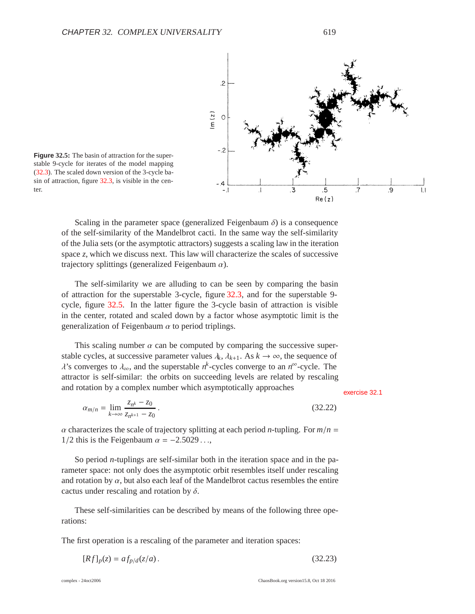

**Figure 32.5:** The basin of attraction for the superstable 9-cycle for iterates of the model mapping (32.3). The scaled down version of the 3-cycle basin of attraction, figure 32.3, is visible in the center.

Scaling in the parameter space (generalized Feigenbaum  $\delta$ ) is a consequence of the self-similarity of the Mandelbrot cacti. In the same way the self-similarity of the Julia sets (or the asymptotic attractors) suggests a scaling law in the iteration space *z*, which we discuss next. This law will characterize the scales of successive trajectory splittings (generalized Feigenbaum  $\alpha$ ).

The self-similarity we are alluding to can be seen by comparing the basin of attraction for the superstable 3-cycle, figure 32.3, and for the superstable 9 cycle, figure 32.5. In the latter figure the 3-cycle basin of attraction is visible in the center, rotated and scaled down by a factor whose asymptotic limit is the generalization of Feigenbaum  $\alpha$  to period triplings.

This scaling number  $\alpha$  can be computed by comparing the successive superstable cycles, at successive parameter values  $\lambda_k$ ,  $\lambda_{k+1}$ . As  $k \to \infty$ , the sequence of  $\lambda$ 's converges to  $\lambda_{\infty}$ , and the superstable  $n^k$ -cycles converge to an  $n^{\infty}$ -cycle. The attractor is self-similar: the orbits on succeeding levels are related by rescaling and rotation by a complex number which asymptotically approaches exercise 32.1

$$
\alpha_{m/n} = \lim_{k \to \infty} \frac{z_{n^k} - z_0}{z_{n^{k+1}} - z_0} \,. \tag{32.22}
$$

 $\alpha$  characterizes the scale of trajectory splitting at each period *n*-tupling. For  $m/n =$ 1/2 this is the Feigenbaum  $\alpha = -2.5029...$ ,

So period *n*-tuplings are self-similar both in the iteration space and in the parameter space: not only does the asymptotic orbit resembles itself under rescaling and rotation by  $\alpha$ , but also each leaf of the Mandelbrot cactus resembles the entire cactus under rescaling and rotation by  $\delta$ .

These self-similarities can be described by means of the following three operations:

The first operation is a rescaling of the parameter and iteration spaces:

$$
[Rf]_p(z) = af_{p/d}(z/a).
$$
 (32.23)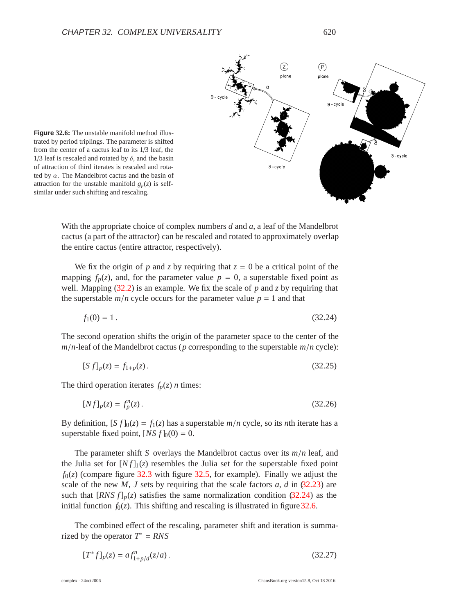

**Figure 32.6:** The unstable manifold method illustrated by period triplings. The parameter is shifted from the center of a cactus leaf to its 1/3 leaf, the  $1/3$  leaf is rescaled and rotated by  $\delta$ , and the basin of attraction of third iterates is rescaled and rotated by  $\alpha$ . The Mandelbrot cactus and the basin of attraction for the unstable manifold  $g_p(z)$  is selfsimilar under such shifting and rescaling.

With the appropriate choice of complex numbers *d* and *a*, a leaf of the Mandelbrot cactus (a part of the attractor) can be rescaled and rotated to approximately overlap the entire cactus (entire attractor, respectively).

We fix the origin of *p* and *z* by requiring that  $z = 0$  be a critical point of the mapping  $f_p(z)$ , and, for the parameter value  $p = 0$ , a superstable fixed point as well. Mapping  $(32.2)$  is an example. We fix the scale of p and z by requiring that the superstable  $m/n$  cycle occurs for the parameter value  $p = 1$  and that

$$
f_1(0) = 1. \t\t(32.24)
$$

The second operation shifts the origin of the parameter space to the center of the  $m/n$ -leaf of the Mandelbrot cactus ( $p$  corresponding to the superstable  $m/n$  cycle):

$$
[S f]_p(z) = f_{1+p}(z). \tag{32.25}
$$

The third operation iterates  $f_p(z)$  *n* times:

$$
[Nf]_p(z) = f_p^n(z). \tag{32.26}
$$

By definition,  $[S f]_0(z) = f_1(z)$  has a superstable  $m/n$  cycle, so its *n*th iterate has a superstable fixed point,  $[NS f]_0(0) = 0$ .

The parameter shift *S* overlays the Mandelbrot cactus over its *m*/*n* leaf, and the Julia set for  $[Nf]_1(z)$  resembles the Julia set for the superstable fixed point  $f<sub>0</sub>(z)$  (compare figure 32.3 with figure 32.5, for example). Finally we adjust the scale of the new *M*, *J* sets by requiring that the scale factors  $a$ ,  $d$  in  $(32.23)$  are such that  $[RNS f]_p(z)$  satisfies the same normalization condition  $(32.24)$  as the initial function  $f_0(z)$ . This shifting and rescaling is illustrated in figure 32.6.

The combined effect of the rescaling, parameter shift and iteration is summarized by the operator  $T^* = RNS$ 

$$
[T^*f]_p(z) = af_{1+p/d}^n(z/a). \tag{32.27}
$$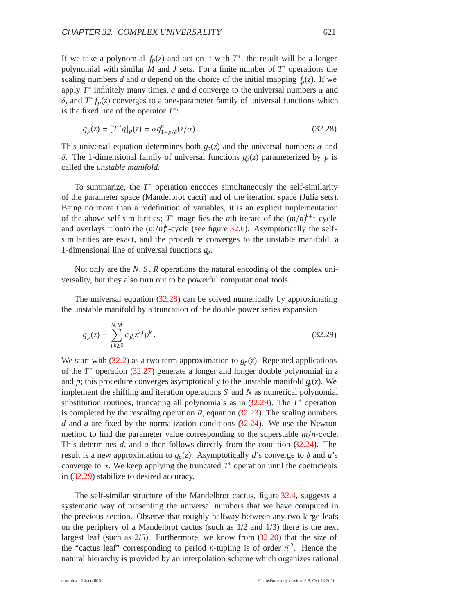If we take a polynomial  $f_p(z)$  and act on it with  $T^*$ , the result will be a longer polynomial with similar *M* and *J* sets. For a finite number of *T*<sup>∗</sup> operations the scaling numbers *d* and *a* depend on the choice of the initial mapping  $f_p(z)$ . If we apply  $T^*$  infinitely many times, *a* and *d* converge to the universal numbers  $\alpha$  and δ, and  $T^* f_p(z)$  converges to a one-parameter family of universal functions which is the fixed line of the operator *T*∗:

$$
g_p(z) = [T^*g]_p(z) = \alpha g_{1+p/\delta}^n(z/\alpha).
$$
 (32.28)

This universal equation determines both  $g_p(z)$  and the universal numbers  $\alpha$  and δ. The 1-dimensional family of universal functions *gp*(*z*) parameterized by *p* is called the *unstable manifold*.

To summarize, the *T*<sup>∗</sup> operation encodes simultaneously the self-similarity of the parameter space (Mandelbrot cacti) and of the iteration space (Julia sets). Being no more than a redefinition of variables, it is an explicit implementation of the above self-similarities;  $T^*$  magnifies the *n*th iterate of the  $(m/n)^{k+1}$ -cycle and overlays it onto the  $(m/n)^k$ -cycle (see figure 32.6). Asymptotically the selfsimilarities are exact, and the procedure converges to the unstable manifold, a 1-dimensional line of universal functions *gp*.

Not only are the *N*, *S* , *R* operations the natural encoding of the complex universality, but they also turn out to be powerful computational tools.

The universal equation (32.28) can be solved numerically by approximating the unstable manifold by a truncation of the double power series expansion

$$
g_p(z) = \sum_{j,k \ge 0}^{N,M} c_{jk} z^{2j} p^k.
$$
 (32.29)

We start with  $(32.2)$  as a two term approximation to  $g_p(z)$ . Repeated applications of the *T*<sup>∗</sup> operation (32.27) generate a longer and longer double polynomial in *z* and *p*; this procedure converges asymptotically to the unstable manifold  $g_p(z)$ . We implement the shifting and iteration operations *S* and *N* as numerical polynomial substitution routines, truncating all polynomials as in  $(32.29)$ . The  $T^*$  operation is completed by the rescaling operation  $R$ , equation  $(32.23)$ . The scaling numbers *d* and *a* are fixed by the normalization conditions (32.24). We use the Newton method to find the parameter value corresponding to the superstable *m*/*n*-cycle. This determines *d*, and *a* then follows directly from the condition (32.24). The result is a new approximation to  $g_p(z)$ . Asymptotically *d*'s converge to  $\delta$  and *a*'s converge to  $\alpha$ . We keep applying the truncated  $T^*$  operation until the coefficients in (32.29) stabilize to desired accuracy.

The self-similar structure of the Mandelbrot cactus, figure 32.4, suggests a systematic way of presenting the universal numbers that we have computed in the previous section. Observe that roughly halfway between any two large leafs on the periphery of a Mandelbrot cactus (such as  $1/2$  and  $1/3$ ) there is the next largest leaf (such as 2/5). Furthermore, we know from (32.20) that the size of the "cactus leaf" corresponding to period *n*-tupling is of order  $n^{-2}$ . Hence the natural hierarchy is provided by an interpolation scheme which organizes rational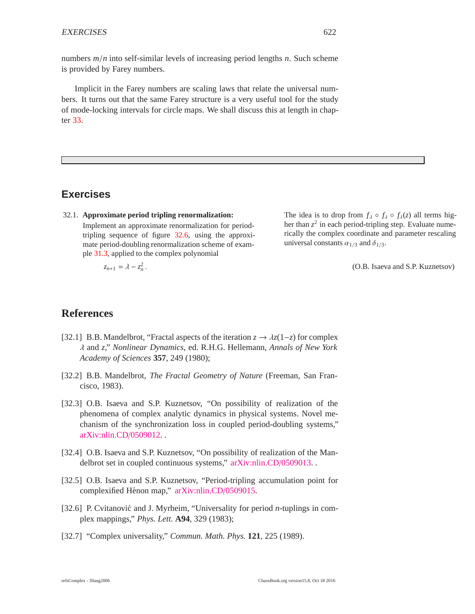numbers *m*/*n* into self-similar levels of increasing period lengths *n*. Such scheme is provided by Farey numbers.

Implicit in the Farey numbers are scaling laws that relate the universal numbers. It turns out that the same Farey structure is a very useful tool for the study of mode-locking intervals for circle maps. We shall discuss this at length in chapter 33.

### **Exercises**

32.1. **Approximate period tripling renormalization:** Implement an approximate renormalization for periodtripling sequence of figure 32.6, using the approximate period-doubling renormalization scheme of example 31.3, applied to the complex polynomial

 $z_{n+1} = \lambda - z_n^2$ .

The idea is to drop from  $f_\lambda \circ f_\lambda \circ f_\lambda(z)$  all terms higher than  $z^2$  in each period-tripling step. Evaluate numerically the complex coordinate and parameter rescaling universal constants  $\alpha_{1/3}$  and  $\delta_{1/3}$ .

(O.B. Isaeva and S.P. Kuznetsov)

## **References**

- [32.1] B.B. Mandelbrot, "Fractal aspects of the iteration *z* → λ*z*(1−*z*) for complex λ and *z*," *Nonlinear Dynamics*, ed. R.H.G. Hellemann, *Annals of New York Academy of Sciences* **357**, 249 (1980);
- [32.2] B.B. Mandelbrot, *The Fractal Geometry of Nature* (Freeman, San Francisco, 1983).
- [32.3] O.B. Isaeva and S.P. Kuznetsov, "On possibility of realization of the phenomena of complex analytic dynamics in physical systems. Novel mechanism of the synchronization loss in coupled period-doubling systems," [arXiv:nlin.CD](http://arXiv.org/abs/nlin.CD/0509012)/0509012. .
- [32.4] O.B. Isaeva and S.P. Kuznetsov, "On possibility of realization of the Mandelbrot set in coupled continuous systems," [arXiv:nlin.CD](http://arXiv.org/abs/nlin.CD/0509013)/0509013.
- [32.5] O.B. Isaeva and S.P. Kuznetsov, "Period-tripling accumulation point for complexified Hénon map," [arXiv:nlin.CD](http://arXiv.org/abs/nlin.CD/0509015)/0509015.
- [32.6] P. Cvitanović and J. Myrheim, "Universality for period *n*-tuplings in complex mappings," *Phys. Lett.* **A94**, 329 (1983);
- [32.7] "Complex universality," *Commun. Math. Phys.* **121**, 225 (1989).